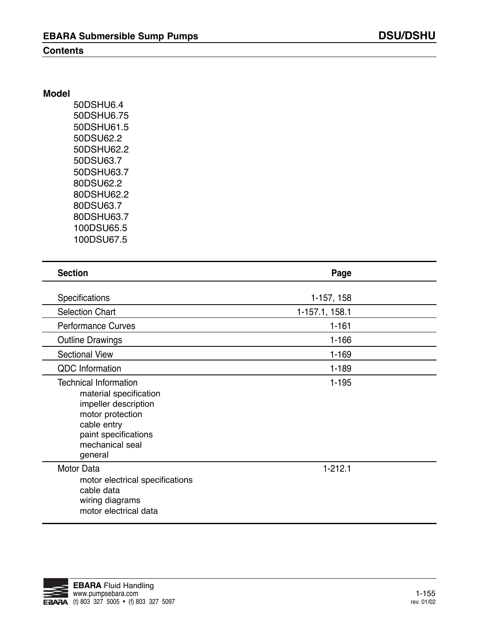## **Contents**

50DSHU6.4 50DSHU6.75 50DSHU61.5 50DSU62.2 50DSHU62.2 50DSU63.7 50DSHU63.7 80DSU62.2 80DSHU62.2 80DSU63.7 80DSHU63.7 100DSU65.5 100DSU67.5

| <b>Section</b>                                                                                                                                                          | Page           |  |
|-------------------------------------------------------------------------------------------------------------------------------------------------------------------------|----------------|--|
| Specifications                                                                                                                                                          | 1-157, 158     |  |
| <b>Selection Chart</b>                                                                                                                                                  | 1-157.1, 158.1 |  |
| <b>Performance Curves</b>                                                                                                                                               | $1 - 161$      |  |
| <b>Outline Drawings</b>                                                                                                                                                 | $1 - 166$      |  |
| <b>Sectional View</b>                                                                                                                                                   | $1 - 169$      |  |
| <b>QDC</b> Information                                                                                                                                                  | $1 - 189$      |  |
| <b>Technical Information</b><br>material specification<br>impeller description<br>motor protection<br>cable entry<br>paint specifications<br>mechanical seal<br>general | $1 - 195$      |  |
| <b>Motor Data</b><br>motor electrical specifications<br>cable data<br>wiring diagrams<br>motor electrical data                                                          | $1 - 212.1$    |  |

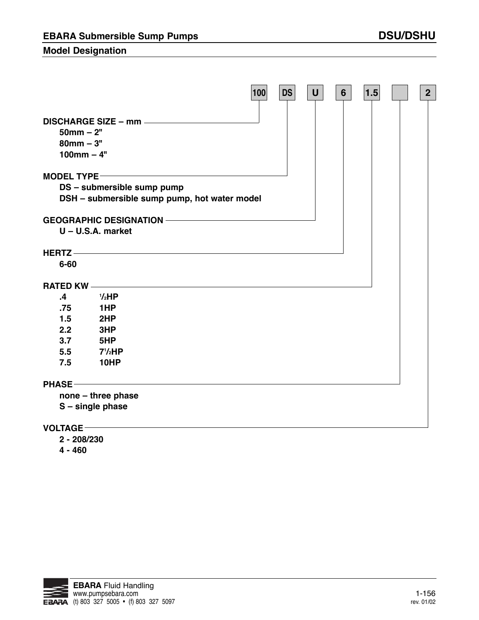## **Model Designation**

|                                                   |                                                                            | 100 | <b>DS</b> | $\mathbf U$ | 6 <sup>1</sup> | 1.5 | 2 <sub>2</sub> |
|---------------------------------------------------|----------------------------------------------------------------------------|-----|-----------|-------------|----------------|-----|----------------|
| $50$ mm $- 2"$<br>$80$ mm $-3"$<br>$100$ mm $-4"$ | DISCHARGE SIZE - mm ________________                                       |     |           |             |                |     |                |
| <b>MODEL TYPE-</b>                                |                                                                            |     |           |             |                |     |                |
|                                                   | DS - submersible sump pump<br>DSH - submersible sump pump, hot water model |     |           |             |                |     |                |
|                                                   |                                                                            |     |           |             |                |     |                |
|                                                   | $U - U.S.A.$ market                                                        |     |           |             |                |     |                |
|                                                   |                                                                            |     |           |             |                |     |                |
| $6 - 60$                                          |                                                                            |     |           |             |                |     |                |
| <b>RATED KW-</b>                                  |                                                                            |     |           |             |                |     |                |
| .4                                                | $1/2$ HP                                                                   |     |           |             |                |     |                |
| .75                                               | 1HP                                                                        |     |           |             |                |     |                |
| 1.5                                               | 2HP                                                                        |     |           |             |                |     |                |
| 2.2                                               | 3HP                                                                        |     |           |             |                |     |                |
| 3.7                                               | 5HP                                                                        |     |           |             |                |     |                |
| 5.5                                               | $7\frac{1}{2}HP$                                                           |     |           |             |                |     |                |
| 7.5                                               | 10HP                                                                       |     |           |             |                |     |                |
| <b>PHASE-</b>                                     | <u> 1989 - Johann Barn, fransk politik forsk politik (d. 1989)</u>         |     |           |             |                |     |                |
|                                                   | none - three phase                                                         |     |           |             |                |     |                |
|                                                   | S - single phase                                                           |     |           |             |                |     |                |
| <b>VOLTAGE</b>                                    |                                                                            |     |           |             |                |     |                |

**2 - 208/230**

**4 - 460**

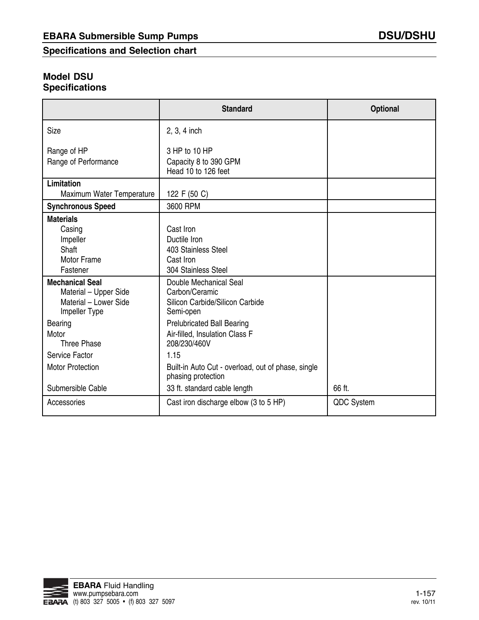**Specifications and Selection chart**

# **Model DSU Specifications**

|                                                                                                               | <b>Standard</b>                                                                                                                                                 | Optional             |
|---------------------------------------------------------------------------------------------------------------|-----------------------------------------------------------------------------------------------------------------------------------------------------------------|----------------------|
| Size                                                                                                          | 2, 3, 4 inch                                                                                                                                                    |                      |
| Range of HP<br>Range of Performance                                                                           | 3 HP to 10 HP<br>Capacity 8 to 390 GPM<br>Head 10 to 126 feet                                                                                                   |                      |
| Limitation<br>Maximum Water Temperature                                                                       | 122 F (50 C)                                                                                                                                                    |                      |
| <b>Synchronous Speed</b>                                                                                      | 3600 RPM                                                                                                                                                        |                      |
| <b>Materials</b><br>Casing<br>Impeller<br>Shaft<br><b>Motor Frame</b><br>Fastener                             | Cast Iron<br>Ductile Iron<br>403 Stainless Steel<br>Cast Iron<br>304 Stainless Steel                                                                            |                      |
| <b>Mechanical Seal</b><br>Material - Upper Side<br>Material - Lower Side<br>Impeller Type<br>Bearing<br>Motor | Double Mechanical Seal<br>Carbon/Ceramic<br>Silicon Carbide/Silicon Carbide<br>Semi-open<br><b>Prelubricated Ball Bearing</b><br>Air-filled, Insulation Class F |                      |
| Three Phase                                                                                                   | 208/230/460V                                                                                                                                                    |                      |
| Service Factor<br><b>Motor Protection</b>                                                                     | 1.15<br>Built-in Auto Cut - overload, out of phase, single<br>phasing protection                                                                                |                      |
| Submersible Cable<br>Accessories                                                                              | 33 ft. standard cable length<br>Cast iron discharge elbow (3 to 5 HP)                                                                                           | 66 ft.<br>QDC System |

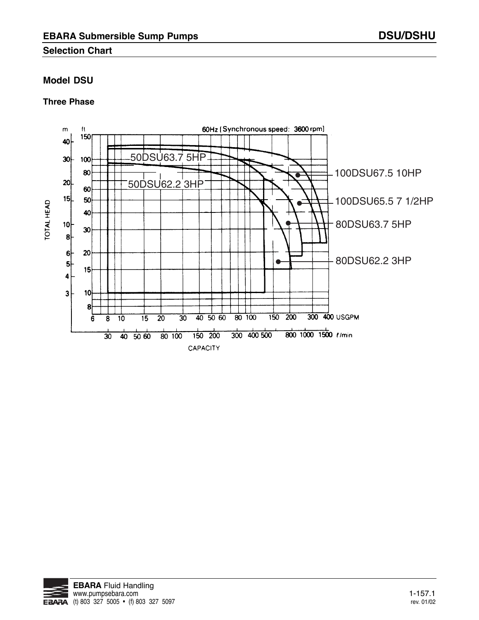## **Selection Chart**

## **Model DSU**

### **Three Phase**



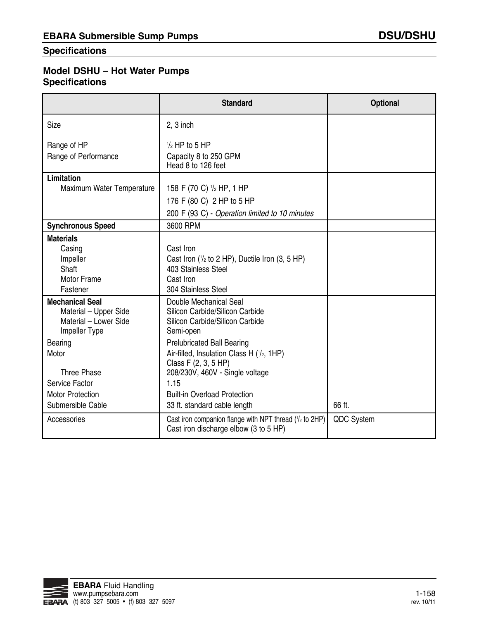## **Specifications**

# **Model DSHU – Hot Water Pumps Specifications**

|                                                                                                                                                                                                | <b>Standard</b>                                                                                                                                                                                                                                                                                                                       | Optional          |
|------------------------------------------------------------------------------------------------------------------------------------------------------------------------------------------------|---------------------------------------------------------------------------------------------------------------------------------------------------------------------------------------------------------------------------------------------------------------------------------------------------------------------------------------|-------------------|
| Size                                                                                                                                                                                           | $2, 3$ inch                                                                                                                                                                                                                                                                                                                           |                   |
| Range of HP<br>Range of Performance                                                                                                                                                            | $\frac{1}{2}$ HP to 5 HP<br>Capacity 8 to 250 GPM<br>Head 8 to 126 feet                                                                                                                                                                                                                                                               |                   |
| Limitation<br>Maximum Water Temperature                                                                                                                                                        | 158 F (70 C) $\frac{1}{2}$ HP, 1 HP<br>176 F (80 C) 2 HP to 5 HP<br>200 F (93 C) - Operation limited to 10 minutes                                                                                                                                                                                                                    |                   |
| <b>Synchronous Speed</b>                                                                                                                                                                       | 3600 RPM                                                                                                                                                                                                                                                                                                                              |                   |
| <b>Materials</b><br>Casing<br>Impeller<br>Shaft<br>Motor Frame<br>Fastener                                                                                                                     | Cast Iron<br>Cast Iron ( $\frac{1}{2}$ to 2 HP), Ductile Iron (3, 5 HP)<br>403 Stainless Steel<br>Cast Iron<br>304 Stainless Steel                                                                                                                                                                                                    |                   |
| <b>Mechanical Seal</b><br>Material - Upper Side<br>Material - Lower Side<br>Impeller Type<br>Bearing<br>Motor<br>Three Phase<br>Service Factor<br><b>Motor Protection</b><br>Submersible Cable | Double Mechanical Seal<br>Silicon Carbide/Silicon Carbide<br>Silicon Carbide/Silicon Carbide<br>Semi-open<br><b>Prelubricated Ball Bearing</b><br>Air-filled, Insulation Class H (1/2, 1HP)<br>Class F (2, 3, 5 HP)<br>208/230V, 460V - Single voltage<br>1.15<br><b>Built-in Overload Protection</b><br>33 ft. standard cable length | 66 ft.            |
| Accessories                                                                                                                                                                                    | Cast iron companion flange with NPT thread $(1/2)$ to 2HP)<br>Cast iron discharge elbow (3 to 5 HP)                                                                                                                                                                                                                                   | <b>QDC System</b> |

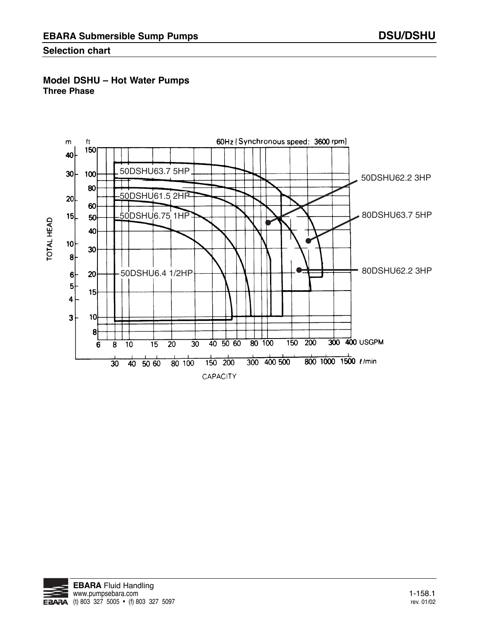## **Selection chart**

## **Model DSHU – Hot Water Pumps Three Phase**



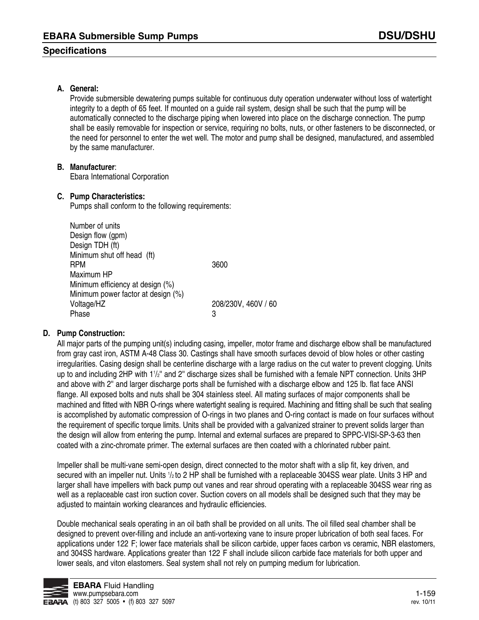### **Specifications**

### **A. General:**

Provide submersible dewatering pumps suitable for continuous duty operation underwater without loss of watertight integrity to a depth of 65 feet. If mounted on a guide rail system, design shall be such that the pump will be automatically connected to the discharge piping when lowered into place on the discharge connection. The pump shall be easily removable for inspection or service, requiring no bolts, nuts, or other fasteners to be disconnected, or the need for personnel to enter the wet well. The motor and pump shall be designed, manufactured, and assembled by the same manufacturer.

#### **B. Manufacturer**:

Ebara International Corporation

#### **C. Pump Characteristics:**

Pumps shall conform to the following requirements:

Number of units Design flow (gpm) Design TDH (ft) Minimum shut off head (ft) RPM 3600 Maximum HP Minimum efficiency at design (%) Minimum power factor at design (%) Voltage/HZ 208/230V, 460V / 60 Phase 3

### **D. Pump Construction:**

All major parts of the pumping unit(s) including casing, impeller, motor frame and discharge elbow shall be manufactured from gray cast iron, ASTM A-48 Class 30. Castings shall have smooth surfaces devoid of blow holes or other casting irregularities. Casing design shall be centerline discharge with a large radius on the cut water to prevent clogging. Units up to and including 2HP with 11/2" and 2" discharge sizes shall be furnished with a female NPT connection. Units 3HP and above with 2'' and larger discharge ports shall be furnished with a discharge elbow and 125 lb. flat face ANSI flange. All exposed bolts and nuts shall be 304 stainless steel. All mating surfaces of major components shall be machined and fitted with NBR O-rings where watertight sealing is required. Machining and fitting shall be such that sealing is accomplished by automatic compression of O-rings in two planes and O-ring contact is made on four surfaces without the requirement of specific torque limits. Units shall be provided with a galvanized strainer to prevent solids larger than the design will allow from entering the pump. Internal and external surfaces are prepared to SPPC-VISI-SP-3-63 then coated with a zinc-chromate primer. The external surfaces are then coated with a chlorinated rubber paint.

Impeller shall be multi-vane semi-open design, direct connected to the motor shaft with a slip fit, key driven, and secured with an impeller nut. Units 1/2 to 2 HP shall be furnished with a replaceable 304SS wear plate. Units 3 HP and larger shall have impellers with back pump out vanes and rear shroud operating with a replaceable 304SS wear ring as well as a replaceable cast iron suction cover. Suction covers on all models shall be designed such that they may be adjusted to maintain working clearances and hydraulic efficiencies.

Double mechanical seals operating in an oil bath shall be provided on all units. The oil filled seal chamber shall be designed to prevent over-filling and include an anti-vortexing vane to insure proper lubrication of both seal faces. For applications under 122 F; lower face materials shall be silicon carbide, upper faces carbon vs ceramic, NBR elastomers, and 304SS hardware. Applications greater than 122°F shall include silicon carbide face materials for both upper and lower seals, and viton elastomers. Seal system shall not rely on pumping medium for lubrication.

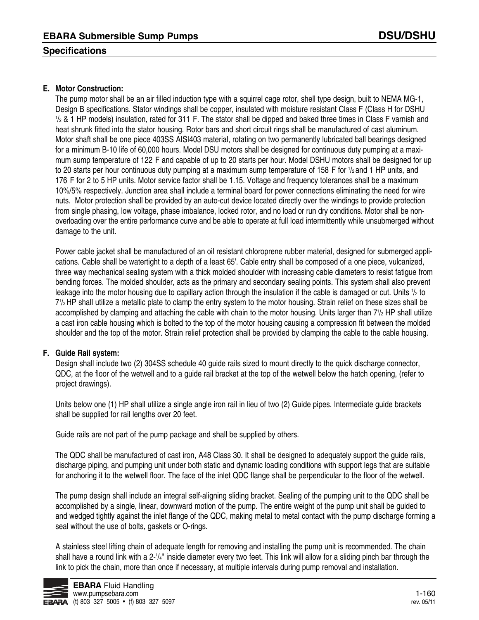## **Specifications**

### **E. Motor Construction:**

The pump motor shall be an air filled induction type with a squirrel cage rotor, shell type design, built to NEMA MG-1, Design B specifications. Stator windings shall be copper, insulated with moisture resistant Class F (Class H for DSHU  $\frac{1}{2}$  & 1 HP models) insulation, rated for 311 F. The stator shall be dipped and baked three times in Class F varnish and heat shrunk fitted into the stator housing. Rotor bars and short circuit rings shall be manufactured of cast aluminum. Motor shaft shall be one piece 403SS AISI403 material, rotating on two permanently lubricated ball bearings designed for a minimum B-10 life of 60,000 hours. Model DSU motors shall be designed for continuous duty pumping at a maximum sump temperature of 122 F and capable of up to 20 starts per hour. Model DSHU motors shall be designed for up to 20 starts per hour continuous duty pumping at a maximum sump temperature of 158 F for 1/2 and 1 HP units, and 176 F for 2 to 5 HP units. Motor service factor shall be 1.15. Voltage and frequency tolerances shall be a maximum 10%/5% respectively. Junction area shall include a terminal board for power connections eliminating the need for wire nuts. Motor protection shall be provided by an auto-cut device located directly over the windings to provide protection from single phasing, low voltage, phase imbalance, locked rotor, and no load or run dry conditions. Motor shall be nonoverloading over the entire performance curve and be able to operate at full load intermittently while unsubmerged without damage to the unit.

Power cable jacket shall be manufactured of an oil resistant chloroprene rubber material, designed for submerged applications. Cable shall be watertight to a depth of a least 65'. Cable entry shall be composed of a one piece, vulcanized, three way mechanical sealing system with a thick molded shoulder with increasing cable diameters to resist fatigue from bending forces. The molded shoulder, acts as the primary and secondary sealing points. This system shall also prevent leakage into the motor housing due to capillary action through the insulation if the cable is damaged or cut. Units  $\frac{1}{2}$  to 71 /2 HP shall utilize a metallic plate to clamp the entry system to the motor housing. Strain relief on these sizes shall be accomplished by clamping and attaching the cable with chain to the motor housing. Units larger than 7<sup>1</sup>/2 HP shall utilize a cast iron cable housing which is bolted to the top of the motor housing causing a compression fit between the molded shoulder and the top of the motor. Strain relief protection shall be provided by clamping the cable to the cable housing.

### **F. Guide Rail system:**

Design shall include two (2) 304SS schedule 40 guide rails sized to mount directly to the quick discharge connector, QDC, at the floor of the wetwell and to a guide rail bracket at the top of the wetwell below the hatch opening, (refer to project drawings).

Units below one (1) HP shall utilize a single angle iron rail in lieu of two (2) Guide pipes. Intermediate guide brackets shall be supplied for rail lengths over 20 feet.

Guide rails are not part of the pump package and shall be supplied by others.

The QDC shall be manufactured of cast iron, A48 Class 30. It shall be designed to adequately support the guide rails, discharge piping, and pumping unit under both static and dynamic loading conditions with support legs that are suitable for anchoring it to the wetwell floor. The face of the inlet QDC flange shall be perpendicular to the floor of the wetwell.

The pump design shall include an integral self-aligning sliding bracket. Sealing of the pumping unit to the QDC shall be accomplished by a single, linear, downward motion of the pump. The entire weight of the pump unit shall be guided to and wedged tightly against the inlet flange of the QDC, making metal to metal contact with the pump discharge forming a seal without the use of bolts, gaskets or O-rings.

A stainless steel lifting chain of adequate length for removing and installing the pump unit is recommended. The chain shall have a round link with a 2-1/4" inside diameter every two feet. This link will allow for a sliding pinch bar through the link to pick the chain, more than once if necessary, at multiple intervals during pump removal and installation.

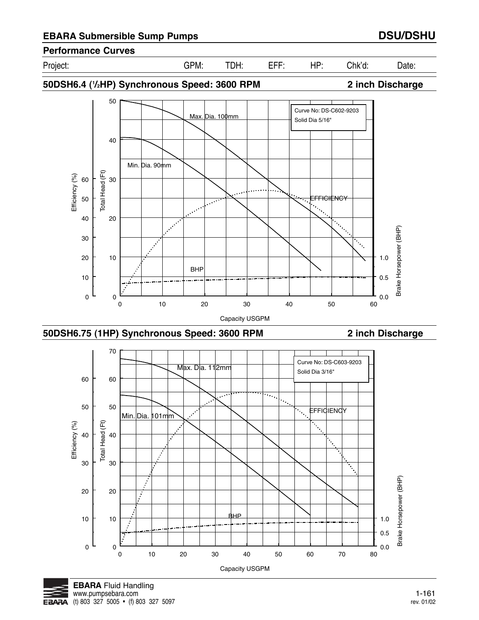# **Performance Curves**

Project: GPM: TDH: EFF: HP: Chk'd: Date:



**50DSH6.4 (1 /2HP) Synchronous Speed: 3600 RPM 2 inch Discharge**







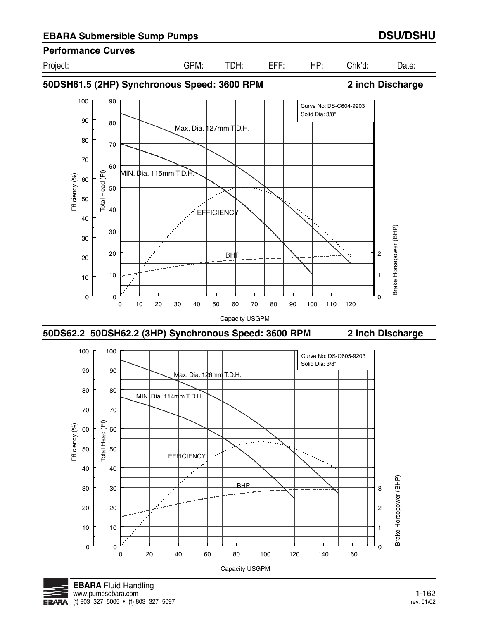## **Performance Curves**

Project: GPM: TDH: EFF: HP: Chk'd: Date:

**50DSH61.5 (2HP) Synchronous Speed: 3600 RPM 2 inch Discharge**



0 20 40 60 80 100 120 140 160 Capacity USGPM



 $0\frac{E}{0}$ 

10

0

10

 $\overline{0}$ 

1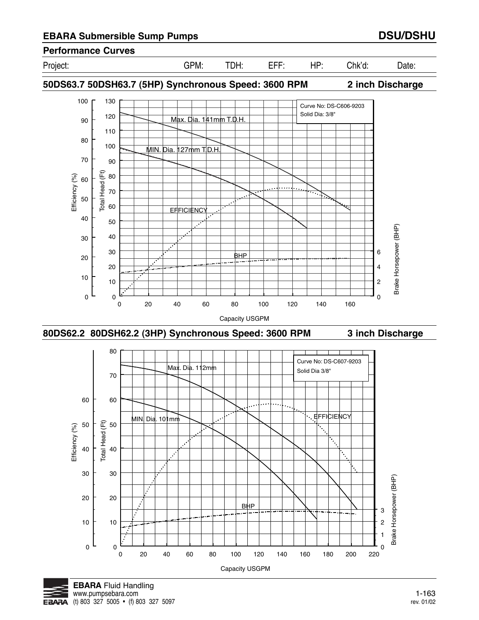

**50DS63.7 50DSH63.7 (5HP) Synchronous Speed: 3600 RPM 2 inch Discharge**







**Performance Curves**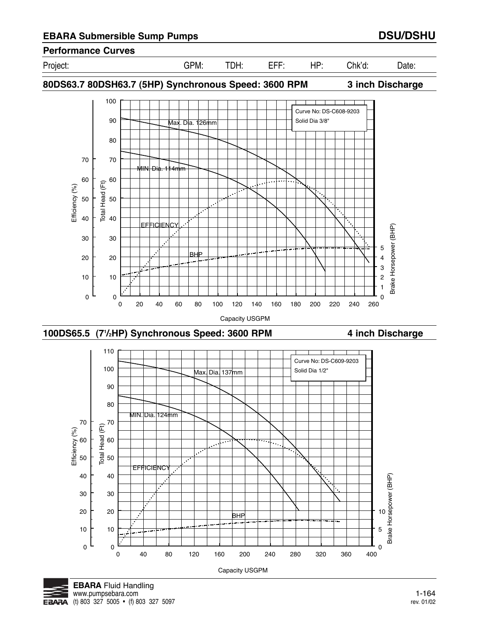**EBARA** 

(t) 803 327 5005 • (f) 803 327 5097

# **EBARA Submersible Sump Pumps DSU/DSHU**

**Performance Curves**

Project: GPM: TDH: EFF: HP: Chk'd: Date:











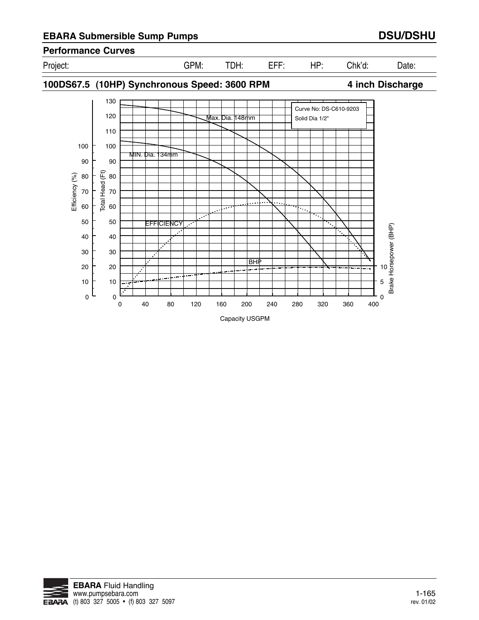# **EBARA Submersible Sump Pumps DSU/DSHU**

**Performance Curves**



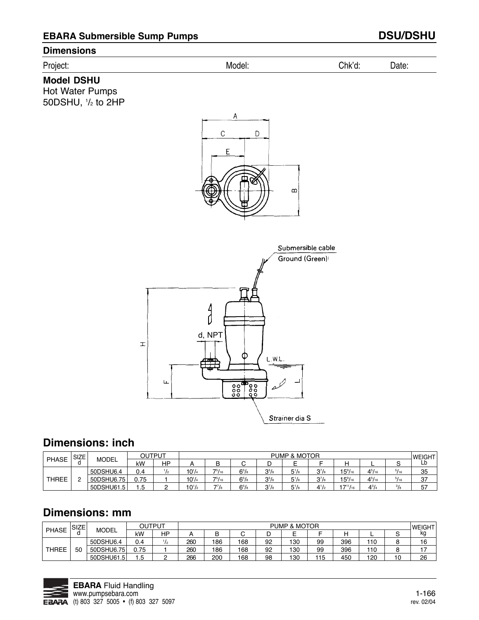### **Dimensions**

## Project: Model: Chk'd: Date:

## **Model DSHU**

Hot Water Pumps 50DSHU, 1 /2 to 2HP





# **Dimensions: inch**

|              | <b>SIZE</b> |              | OUTPUT |    |            |       |           |           | <b>PUMP &amp; MOTOR</b>            |           |                  |               |               | <b>WEIGHT</b> |
|--------------|-------------|--------------|--------|----|------------|-------|-----------|-----------|------------------------------------|-----------|------------------|---------------|---------------|---------------|
| <b>PHASE</b> |             | <b>MODEL</b> | kW     | HP |            | D     | U         |           | $\overline{\phantom{0}}$<br>-<br>╾ |           |                  | ╌             |               | Lb            |
|              |             | 50DSHU6.4    | 0.4    | 72 | $10^{1/4}$ | 75/16 | $6^{5}/s$ | $3^{5}/8$ | $5^{1}/s$                          | $3^{7}/3$ | $15\frac{9}{16}$ | $4^{5}/_{16}$ | $^{5}/_{16}$  | 35            |
| <b>THREE</b> |             | 50DSHU6.75   | 0.75   |    | $10^{1/4}$ | 75/16 | $6^{5}/s$ | $3^{5}/8$ | $5^{1}/s$                          | $3^{7}/8$ | $15\frac{9}{16}$ | $4^{5}/_{16}$ | 5/16          | 37            |
|              |             | 50DSHU61.5   | 1.5    |    | $10^{1/2}$ | 77/8  | $6^{5}/s$ | $37$ /s   | $5^{1}/_{8}$                       | $4^{1/2}$ | $'7''/_{16}$     | $4^{3}/$      | $\frac{3}{8}$ | 57            |

# **Dimensions: mm**

| <b>PHASE</b> | <b>SIZE</b> |              | OUTPUT |                |     |     |     |    | PUMP & MOTOR |     |     |     |    | <b>WEIGHT</b> |
|--------------|-------------|--------------|--------|----------------|-----|-----|-----|----|--------------|-----|-----|-----|----|---------------|
|              |             | <b>MODEL</b> | kW     | HP             |     |     |     | ٠  | -            |     |     | -   | ີ  | kg            |
| <b>THREE</b> |             | 50DSHU6.4    | 0.4    | I <sub>2</sub> | 260 | 186 | 168 | 92 | 130          | 99  | 396 | 110 |    | 16            |
|              | 50          | 50DSHU6.75   | 0.75   |                | 260 | 186 | 168 | 92 | 130          | 99  | 396 | 110 |    | 17            |
|              |             | 50DSHU61.5   | 1.5    |                | 266 | 200 | 168 | 98 | 130          | 115 | 450 | 120 | 10 | 26            |

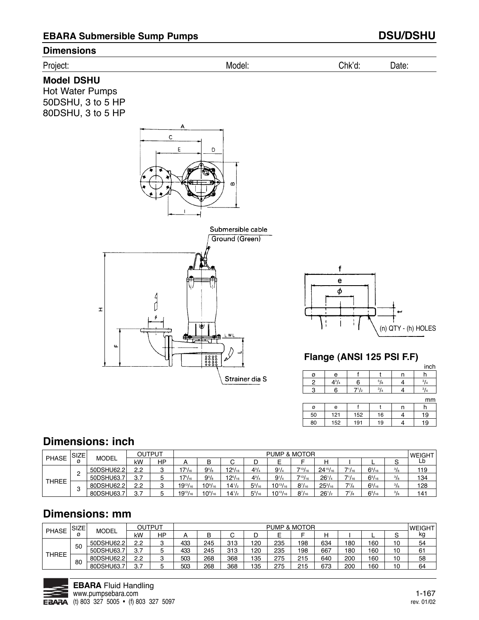

# **Dimensions: inch**

|              | SIZE <sub>1</sub> |              |           | OUTPUT  |                 |                    |                |               | <b>PUMP &amp; MOTOR</b> |                  |                 |               |               |               | <b>WEIGHT</b> |
|--------------|-------------------|--------------|-----------|---------|-----------------|--------------------|----------------|---------------|-------------------------|------------------|-----------------|---------------|---------------|---------------|---------------|
| <b>PHASE</b> |                   | <b>MODEL</b> | kW        | ΗP      |                 | B                  | ◡              | υ             |                         |                  | н               |               | -             |               | Ĺb            |
|              |                   | 50DSHU62.2   | 2.2       | c<br>ت  | $17^{1}/_{16}$  | $9^{5}/\mathrm{s}$ | $12^{5}/_{16}$ | $4^{3}/_{4}$  | $9^{1}/4$               | $7^{13}/_{16}$ . | $24^{15}/_{16}$ | $7^{1}/_{16}$ | $6^{5}/_{16}$ | $^{3}/_{8}$   | 119           |
| THREE        |                   | 50DSHU63.7   | 3.7       |         | $17^{1}/_{16}$  | $9^{5}/_{8}$       | $12^{5/16}$    | $4^{3}/_{4}$  | $9^{1/4}$               | 713/16           | $26^{1}/4$      | $7^{1}/_{16}$ | $6^{5}/_{16}$ | $\frac{3}{8}$ | 134           |
|              |                   | 80DSHU62.2   | 2.2       | c<br>ັບ | $19^{13}/_{16}$ | $10^{9/16}$        | $4^{1/2}$      | $5^{5}/_{16}$ | $10^{13}/_{16}$         | $8^{7}/_{16}$    | $25^{3}/_{16}$  | $7^{7}/_{8}$  | $6^{5}/_{16}$ | $\frac{3}{8}$ | 128           |
|              |                   | 80DSHU63.    | 37<br>، ب |         | $19^{13}/_{16}$ | $10^{9}/_{16}$     | $14^{1/2}$     | $5^{5}/_{16}$ | $10^{13}/_{16}$         | $8^{7}/_{16}$    | $26^{1/2}$      | $7^{7}/_{8}$  | $6^{5}/_{16}$ | $\frac{3}{8}$ | 141           |

ø 50 80

e 121 152

f 152 191

 $7^{1/2}$ 

t 16 19

 $\frac{3}{4}$ 

n 4 4

h 19 19

 $\frac{3}{4}$ 

mm

# **Dimensions: mm**

| <b>PHASE</b> | <b>SIZE</b> | <b>MODEL</b> |            | OUTPUT  |     |     |     |     |     | <b>PUMP &amp; MOTOR</b> |     |     |     |    | <b>SWEIGHT</b> |
|--------------|-------------|--------------|------------|---------|-----|-----|-----|-----|-----|-------------------------|-----|-----|-----|----|----------------|
|              | ø           |              | kW         | HP      | Α   | B   | U   | D   |     |                         | н   |     |     | ٮ  | kg             |
| <b>THREE</b> |             | 50DSHU62.2   | 2.2        | ີ<br>ت  | 433 | 245 | 313 | 120 | 235 | 198                     | 634 | 180 | 160 | 10 | 54             |
|              | 50          | 50DSHU63.7   | 3.7        | ა       | 433 | 245 | 313 | 120 | 235 | 198                     | 667 | 180 | 160 | 10 | 61             |
|              | 80          | 80DSHU62.2   | 2.2        | ີ<br>ັບ | 503 | 268 | 368 | 135 | 275 | 215                     | 640 | 200 | 160 | 10 | 58             |
|              |             | 80DSHU63.7   | 2 7<br>، ب | 5       | 503 | 268 | 368 | 135 | 275 | 215                     | 673 | 200 | 160 | 10 | 64             |

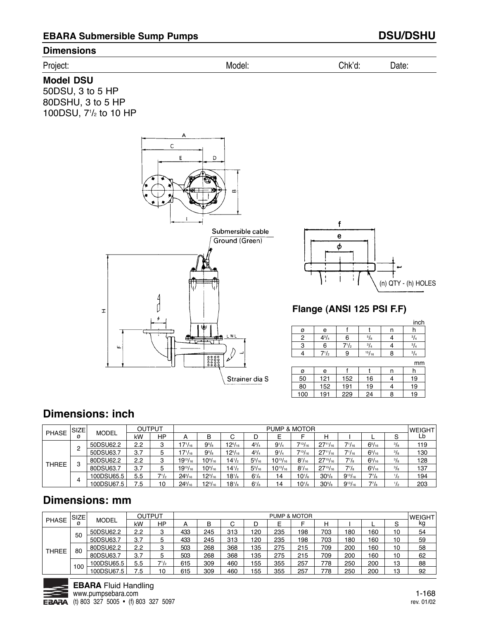## **Dimensions**

| Dr | IVIO | . . | $- - - - -$ |  |
|----|------|-----|-------------|--|
|    |      |     |             |  |

## **Model DSU**

50DSU, 3 to 5 HP 80DSHU, 3 to 5 HP 100DSU, 71 /2 to 10 HP





# **Flange (ANSI 125 PSI F.F)**

|   |              |           |             |   | inch        |
|---|--------------|-----------|-------------|---|-------------|
| ø | е            |           |             | п |             |
| 2 | $4^{3}/_{4}$ | 6         | $^{5}/_8$   |   | $^{3}/_{4}$ |
| 3 | 6            | $7^{1/2}$ | $^{3}/_{4}$ |   | $^{3}I_{4}$ |
|   | $7^{1}/_{2}$ | 9         | 15/16       |   | 14          |
|   |              |           |             |   |             |

|     |     |     |    |   | mm |
|-----|-----|-----|----|---|----|
| ø   | е   |     |    | n |    |
| 50  | 121 | 152 | 16 |   | 19 |
| 80  | 152 | 191 | 19 |   | 19 |
| 100 | 191 | 229 | 24 | 8 | 19 |

# **Dimensions: inch**

|              | <b>SIZE</b> |              |     | OUTPUT    |                 |                    |                |               | <b>PUMP &amp; MOTOR</b> |                     |                     |                |               |               | <b>JWEIGHT</b> |
|--------------|-------------|--------------|-----|-----------|-----------------|--------------------|----------------|---------------|-------------------------|---------------------|---------------------|----------------|---------------|---------------|----------------|
| <b>PHASE</b> | ø           | <b>MODEL</b> | kW  | <b>HP</b> | A               | B                  | С              | D             |                         | ⊏                   | Н                   |                |               | ت             | Lb             |
|              | c           | 50DSU62.2    | 2.2 | 3         | $7'/_{16}$      | $9^{5}/_8$         | $12^{5}/_{16}$ | $4^{3}/_{4}$  | $9^{1/4}$               | 713/16              | $27^{11}/_{16}$     | $7^{1}/_{16}$  | $6^{5}/_{16}$ | $^{3}/_{8}$   | 119            |
|              |             | 50DSU63.7    | 3.7 | 5         | $7^{1}/_{16}$   | $9^{5}/\mathrm{s}$ | $12^{5}/_{16}$ | $4^{3}/_{4}$  | $9^{1}/4$               | $7^{13}/_{16}$      | $27^{11}/_{16}$     | $7^{1}/_{16}$  | $6^{5}/_{16}$ | $\frac{3}{8}$ | 130            |
|              | C           | 80DSU62.2    | 2.2 | ີ<br>ت    | $19^{13}/_{16}$ | $10^{9/16}$        | $14^{1/2}$     | $5^{5}/_{16}$ | $10^{13}/_{16}$         | $8^{7}/_{16}$       | $27^{15}/_{16}$     | $7^{7}/s$      | $6^{5}/_{16}$ | $^{3}/_{8}$   | 128            |
| <b>THREE</b> |             | 80DSU63.7    | 3.7 | 5         | $19^{13}/_{16}$ | $10\%/16}$         | $14^{1/2}$     | $5^{5}/_{16}$ | $10^{13}/_{16}$         | $8^{7}/_{16}$       | $27^{15}/_{16}$     | $7^7/s$        | $6^{5}/_{16}$ | $\frac{3}{8}$ | 137            |
|              |             | 100DSU65.5   | 5.5 | $7^{1}/2$ | $24^{3}/_{16}$  | $12^{3}/_{16}$     | $18^{1}/s$     | $6^{1}/s$     | 14                      | $10^{1/s}$          | $30^{5}/s$          | $9^{13}/_{16}$ | $7^{7}/s$     | $\frac{1}{2}$ | 194            |
|              | 4           | 100DSU67.5   | 7.5 | 10        | $24^{3}/_{16}$  | $12^{3}/_{16}$     | $18^{1}/s$     | $6^{1}/s$     | 14                      | $10^{1}/\mathrm{s}$ | $30^{5}/\mathrm{s}$ | $9^{13}/_{16}$ | $7^{7}/_{8}$  |               | 203            |

# **Dimensions: mm**

| <b>PHASE</b> | <b>SIZE</b> | <b>MODEL</b> | <b>OUTPUT</b> |           | <b>PUMP &amp; MOTOR</b> |     |     |     |     |     |     |     | <b>WEIGHT</b> |        |    |
|--------------|-------------|--------------|---------------|-----------|-------------------------|-----|-----|-----|-----|-----|-----|-----|---------------|--------|----|
|              |             |              | kW            | HP        | Α                       | B   | U   | D   |     |     | н   |     |               | ⌒<br>ت | kg |
| <b>THREE</b> | 50          | 50DSU62.2    | 2.2           | 3         | 433                     | 245 | 313 | 120 | 235 | 198 | 703 | 180 | 160           | 10     | 54 |
|              |             | 50DSU63.7    | 3.7           | 5         | 433                     | 245 | 313 | 120 | 235 | 198 | 703 | 180 | 160           | 10     | 59 |
|              | 80          | 80DSU62.2    | 2.2           | 3         | 503                     | 268 | 368 | 135 | 275 | 215 | 709 | 200 | 160           | 10     | 58 |
|              |             | 80DSU63.7    | 3.7           | 5         | 503                     | 268 | 368 | 135 | 275 | 215 | 709 | 200 | 160           | 10     | 62 |
|              | 100         | 100DSU65.5   | 5.5           | $7^{1/2}$ | 615                     | 309 | 460 | 155 | 355 | 257 | 778 | 250 | 200           | 13     | 88 |
|              |             | 100DSU67.5   | 7.5           | 10        | 615                     | 309 | 460 | 155 | 355 | 257 | 778 | 250 | 200           | 13     | 92 |

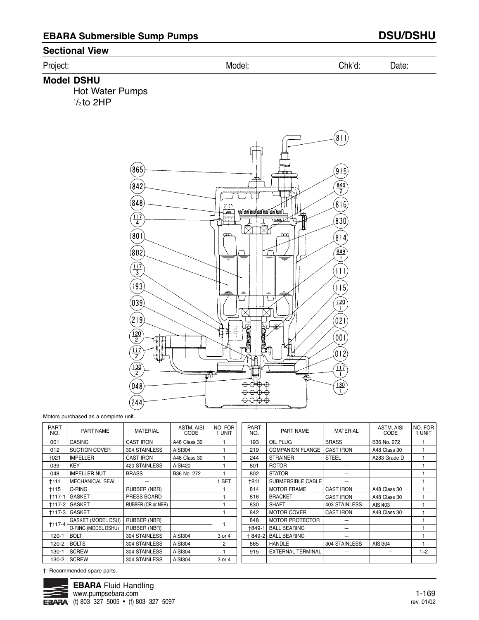### **Sectional View**

#### Project: Model: Chk'd: Date:

**Model DSHU** 

Hot Water Pumps  $\frac{1}{2}$ to 2HP



Motors purchased as a complete unit.

| <b>PART</b><br>NO. | <b>MATERIAL</b><br>PART NAME |                    | ASTM, AISI<br>CODE | NO. FOR<br>1 UNIT | <b>PART</b><br>NO. | PART NAME                | <b>MATERIAL</b>  | ASTM, AISI<br>CODE | NO. FOR<br>1 UNIT |
|--------------------|------------------------------|--------------------|--------------------|-------------------|--------------------|--------------------------|------------------|--------------------|-------------------|
| 001                | <b>CASING</b>                | <b>CAST IRON</b>   | A48 Class 30       |                   | 193                | OIL PLUG                 | <b>BRASS</b>     | B36 No. 272        |                   |
| 012                | <b>SUCTION COVER</b>         | 304 STAINLESS      | AISI304            |                   | 219                | <b>COMPANION FLANGE</b>  | <b>CAST IRON</b> | A48 Class 30       |                   |
| <b>+021</b>        | <b>IMPELLER</b>              | <b>CAST IRON</b>   | A48 Class 30       |                   | 244                | <b>STRAINER</b>          | <b>STEEL</b>     | A283 Grade D       |                   |
| 039                | <b>KEY</b>                   | 420 STAINLESS      | AISI420            |                   | 801                | <b>ROTOR</b>             |                  |                    |                   |
| 048                | <b>IMPELLER NUT</b>          | <b>BRASS</b>       | B36 No. 272        |                   | 802                | <b>STATOR</b>            |                  |                    |                   |
| †111               | <b>MECHANICAL SEAL</b>       |                    |                    | <b>SET</b>        | †811               | SUBMERSIBLE CABLE        |                  |                    |                   |
| †115               | O-RING                       | RUBBER (NBR)       |                    |                   | 814                | <b>MOTOR FRAME</b>       | <b>CAST IRON</b> | A48 Class 30       |                   |
| <b>+117-1</b>      | GASKET                       | PRESS BOARD        |                    |                   | 816                | <b>BRACKET</b>           | <b>CAST IRON</b> | A48 Class 30       |                   |
| <b>+117-21</b>     | <b>GASKET</b>                | RUBBER (CR or NBR) |                    |                   | 830                | <b>SHAFT</b>             | 403 STAINLESS    | AISI403            |                   |
| $+117-3$           | GASKET                       |                    |                    |                   | 842                | <b>MOTOR COVER</b>       | <b>CAST IRON</b> | A48 Class 30       |                   |
| $+117-4$           | <b>GASKET (MODEL DSU)</b>    | RUBBER (NBR)       |                    |                   | 848                | <b>MOTOR PROTECTOR</b>   |                  |                    |                   |
|                    | O-RING (MODEL DSHU)          | RUBBER (NBR)       |                    |                   | +849-1             | <b>BALL BEARING</b>      |                  |                    |                   |
| 120-1              | <b>BOLT</b>                  | 304 STAINLESS      | AISI304            | 3 or 4            | + 849-2            | <b>BALL BEARING</b>      |                  |                    |                   |
| 120-2              | <b>BOLTS</b>                 | 304 STAINLESS      | AISI304            | 2                 | 865                | <b>HANDLE</b>            | 304 STAINLESS    | AISI304            |                   |
| 130-1              | <b>SCREW</b>                 | 304 STAINLESS      | AISI304            |                   | 915                | <b>EXTERNAL TERMINAL</b> |                  |                    | $1 - 2$           |
| 130-2              | <b>SCREW</b>                 | 304 STAINLESS      | AISI304            | 3 or 4            |                    |                          |                  |                    |                   |

†: Recommended spare parts.